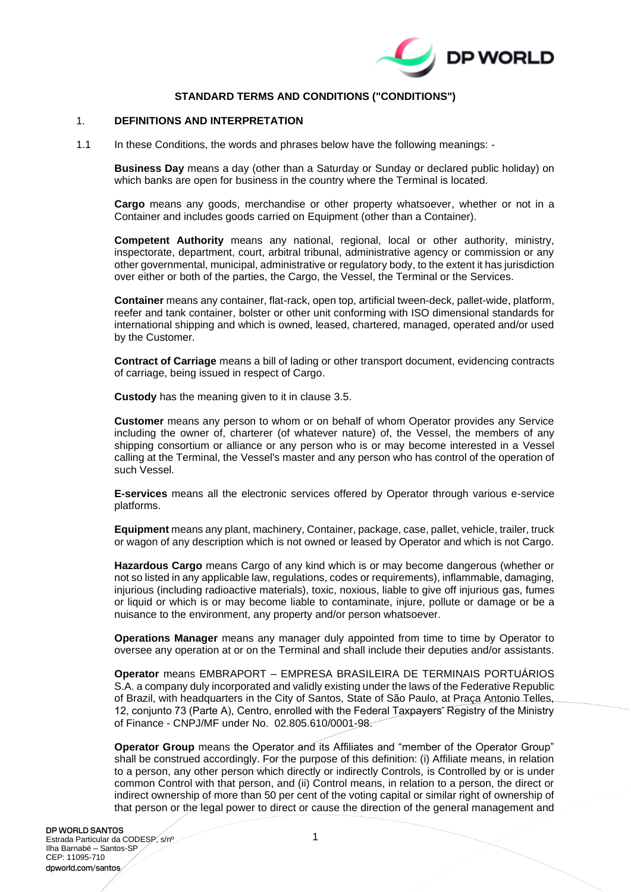

# **STANDARD TERMS AND CONDITIONS ("CONDITIONS")**

#### 1. **DEFINITIONS AND INTERPRETATION**

1.1 In these Conditions, the words and phrases below have the following meanings: -

**Business Day** means a day (other than a Saturday or Sunday or declared public holiday) on which banks are open for business in the country where the Terminal is located.

**Cargo** means any goods, merchandise or other property whatsoever, whether or not in a Container and includes goods carried on Equipment (other than a Container).

**Competent Authority** means any national, regional, local or other authority, ministry, inspectorate, department, court, arbitral tribunal, administrative agency or commission or any other governmental, municipal, administrative or regulatory body, to the extent it has jurisdiction over either or both of the parties, the Cargo, the Vessel, the Terminal or the Services.

**Container** means any container, flat-rack, open top, artificial tween-deck, pallet-wide, platform, reefer and tank container, bolster or other unit conforming with ISO dimensional standards for international shipping and which is owned, leased, chartered, managed, operated and/or used by the Customer.

**Contract of Carriage** means a bill of lading or other transport document, evidencing contracts of carriage, being issued in respect of Cargo.

**Custody** has the meaning given to it in clause [3.5.](#page-3-0)

**Customer** means any person to whom or on behalf of whom Operator provides any Service including the owner of, charterer (of whatever nature) of, the Vessel, the members of any shipping consortium or alliance or any person who is or may become interested in a Vessel calling at the Terminal, the Vessel's master and any person who has control of the operation of such Vessel.

**E-services** means all the electronic services offered by Operator through various e-service platforms.

**Equipment** means any plant, machinery, Container, package, case, pallet, vehicle, trailer, truck or wagon of any description which is not owned or leased by Operator and which is not Cargo.

**Hazardous Cargo** means Cargo of any kind which is or may become dangerous (whether or not so listed in any applicable law, regulations, codes or requirements), inflammable, damaging, injurious (including radioactive materials), toxic, noxious, liable to give off injurious gas, fumes or liquid or which is or may become liable to contaminate, injure, pollute or damage or be a nuisance to the environment, any property and/or person whatsoever.

**Operations Manager** means any manager duly appointed from time to time by Operator to oversee any operation at or on the Terminal and shall include their deputies and/or assistants.

**Operator** means EMBRAPORT – EMPRESA BRASILEIRA DE TERMINAIS PORTUÁRIOS S.A. a company duly incorporated and validly existing under the laws of the Federative Republic of Brazil, with headquarters in the City of Santos, State of São Paulo, at Praça Antonio Telles, 12, conjunto 73 (Parte A), Centro, enrolled with the Federal Taxpayers' Registry of the Ministry of Finance - CNPJ/MF under No. 02.805.610/0001-98.

**Operator Group** means the Operator and its Affiliates and "member of the Operator Group" shall be construed accordingly. For the purpose of this definition: (i) Affiliate means, in relation to a person, any other person which directly or indirectly Controls, is Controlled by or is under common Control with that person, and (ii) Control means, in relation to a person, the direct or indirect ownership of more than 50 per cent of the voting capital or similar right of ownership of that person or the legal power to direct or cause the direction of the general management and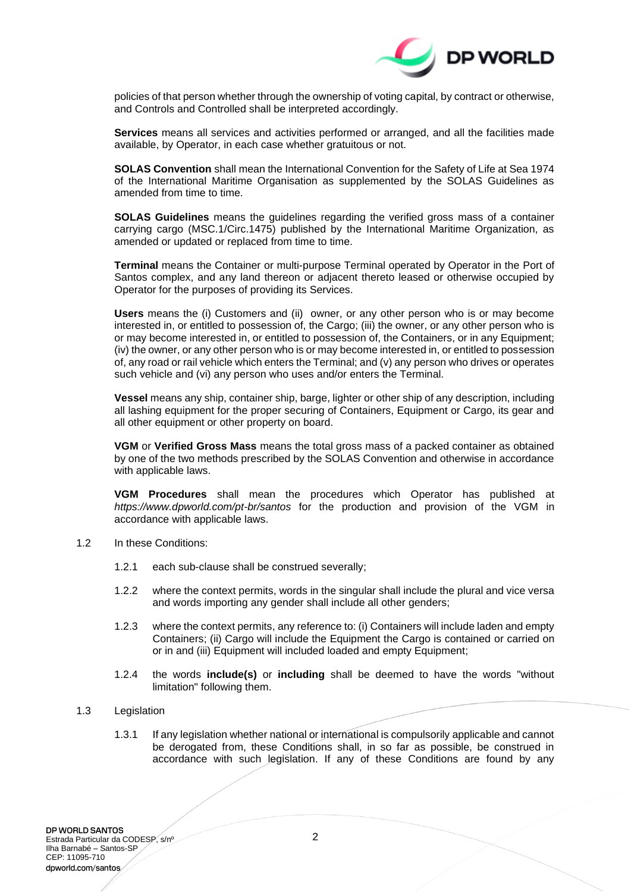

policies of that person whether through the ownership of voting capital, by contract or otherwise, and Controls and Controlled shall be interpreted accordingly.

**Services** means all services and activities performed or arranged, and all the facilities made available, by Operator, in each case whether gratuitous or not.

**SOLAS Convention** shall mean the International Convention for the Safety of Life at Sea 1974 of the International Maritime Organisation as supplemented by the SOLAS Guidelines as amended from time to time.

**SOLAS Guidelines** means the guidelines regarding the verified gross mass of a container carrying cargo (MSC.1/Circ.1475) published by the International Maritime Organization, as amended or updated or replaced from time to time.

**Terminal** means the Container or multi-purpose Terminal operated by Operator in the Port of Santos complex, and any land thereon or adjacent thereto leased or otherwise occupied by Operator for the purposes of providing its Services.

**Users** means the (i) Customers and (ii) owner, or any other person who is or may become interested in, or entitled to possession of, the Cargo; (iii) the owner, or any other person who is or may become interested in, or entitled to possession of, the Containers, or in any Equipment; (iv) the owner, or any other person who is or may become interested in, or entitled to possession of, any road or rail vehicle which enters the Terminal; and (v) any person who drives or operates such vehicle and (vi) any person who uses and/or enters the Terminal.

**Vessel** means any ship, container ship, barge, lighter or other ship of any description, including all lashing equipment for the proper securing of Containers, Equipment or Cargo, its gear and all other equipment or other property on board.

**VGM** or **Verified Gross Mass** means the total gross mass of a packed container as obtained by one of the two methods prescribed by the SOLAS Convention and otherwise in accordance with applicable laws.

**VGM Procedures** shall mean the procedures which Operator has published at *https://www.dpworld.com/pt-br/santos* for the production and provision of the VGM in accordance with applicable laws.

- 1.2 In these Conditions:
	- 1.2.1 each sub-clause shall be construed severally;
	- 1.2.2 where the context permits, words in the singular shall include the plural and vice versa and words importing any gender shall include all other genders;
	- 1.2.3 where the context permits, any reference to: (i) Containers will include laden and empty Containers; (ii) Cargo will include the Equipment the Cargo is contained or carried on or in and (iii) Equipment will included loaded and empty Equipment;
	- 1.2.4 the words **include(s)** or **including** shall be deemed to have the words "without limitation" following them.

#### 1.3 Legislation

1.3.1 If any legislation whether national or international is compulsorily applicable and cannot be derogated from, these Conditions shall, in so far as possible, be construed in accordance with such legislation. If any of these Conditions are found by any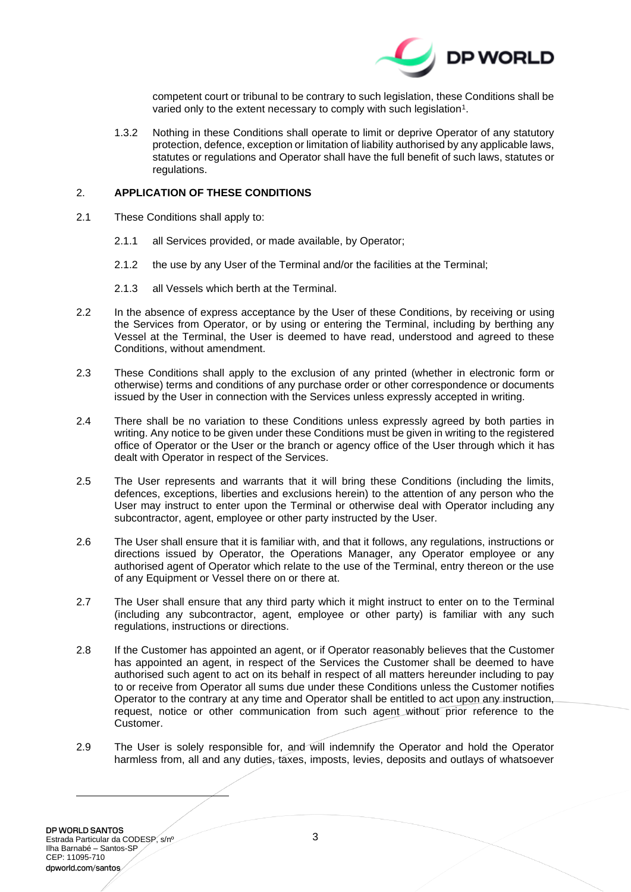

competent court or tribunal to be contrary to such legislation, these Conditions shall be varied only to the extent necessary to comply with such legislation<sup>1</sup>.

1.3.2 Nothing in these Conditions shall operate to limit or deprive Operator of any statutory protection, defence, exception or limitation of liability authorised by any applicable laws, statutes or regulations and Operator shall have the full benefit of such laws, statutes or regulations.

### 2. **APPLICATION OF THESE CONDITIONS**

- 2.1 These Conditions shall apply to:
	- 2.1.1 all Services provided, or made available, by Operator;
	- 2.1.2 the use by any User of the Terminal and/or the facilities at the Terminal;
	- 2.1.3 all Vessels which berth at the Terminal.
- 2.2 In the absence of express acceptance by the User of these Conditions, by receiving or using the Services from Operator, or by using or entering the Terminal, including by berthing any Vessel at the Terminal, the User is deemed to have read, understood and agreed to these Conditions, without amendment.
- 2.3 These Conditions shall apply to the exclusion of any printed (whether in electronic form or otherwise) terms and conditions of any purchase order or other correspondence or documents issued by the User in connection with the Services unless expressly accepted in writing.
- 2.4 There shall be no variation to these Conditions unless expressly agreed by both parties in writing. Any notice to be given under these Conditions must be given in writing to the registered office of Operator or the User or the branch or agency office of the User through which it has dealt with Operator in respect of the Services.
- 2.5 The User represents and warrants that it will bring these Conditions (including the limits, defences, exceptions, liberties and exclusions herein) to the attention of any person who the User may instruct to enter upon the Terminal or otherwise deal with Operator including any subcontractor, agent, employee or other party instructed by the User.
- 2.6 The User shall ensure that it is familiar with, and that it follows, any regulations, instructions or directions issued by Operator, the Operations Manager, any Operator employee or any authorised agent of Operator which relate to the use of the Terminal, entry thereon or the use of any Equipment or Vessel there on or there at.
- 2.7 The User shall ensure that any third party which it might instruct to enter on to the Terminal (including any subcontractor, agent, employee or other party) is familiar with any such regulations, instructions or directions.
- 2.8 If the Customer has appointed an agent, or if Operator reasonably believes that the Customer has appointed an agent, in respect of the Services the Customer shall be deemed to have authorised such agent to act on its behalf in respect of all matters hereunder including to pay to or receive from Operator all sums due under these Conditions unless the Customer notifies Operator to the contrary at any time and Operator shall be entitled to act upon any instruction, request, notice or other communication from such agent without prior reference to the Customer.
- 2.9 The User is solely responsible for, and will indemnify the Operator and hold the Operator harmless from, all and any duties, taxes, imposts, levies, deposits and outlays of whatsoever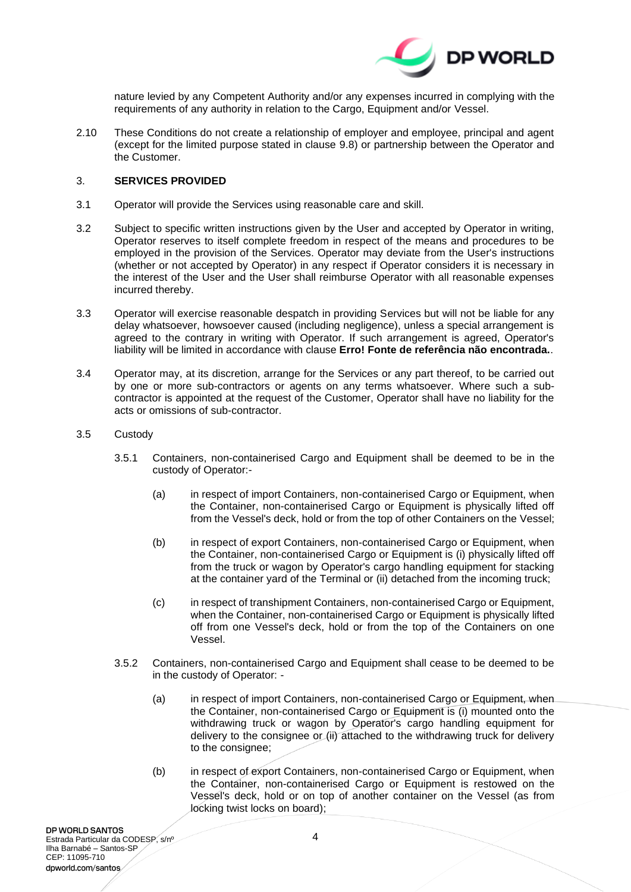

nature levied by any Competent Authority and/or any expenses incurred in complying with the requirements of any authority in relation to the Cargo, Equipment and/or Vessel.

2.10 These Conditions do not create a relationship of employer and employee, principal and agent (except for the limited purpose stated in clause [9.8\)](#page-13-0) or partnership between the Operator and the Customer.

### <span id="page-3-1"></span>3. **SERVICES PROVIDED**

- 3.1 Operator will provide the Services using reasonable care and skill.
- 3.2 Subject to specific written instructions given by the User and accepted by Operator in writing, Operator reserves to itself complete freedom in respect of the means and procedures to be employed in the provision of the Services. Operator may deviate from the User's instructions (whether or not accepted by Operator) in any respect if Operator considers it is necessary in the interest of the User and the User shall reimburse Operator with all reasonable expenses incurred thereby.
- 3.3 Operator will exercise reasonable despatch in providing Services but will not be liable for any delay whatsoever, howsoever caused (including negligence), unless a special arrangement is agreed to the contrary in writing with Operator. If such arrangement is agreed, Operator's liability will be limited in accordance with clause **Erro! Fonte de referência não encontrada.**.
- 3.4 Operator may, at its discretion, arrange for the Services or any part thereof, to be carried out by one or more sub-contractors or agents on any terms whatsoever. Where such a subcontractor is appointed at the request of the Customer, Operator shall have no liability for the acts or omissions of sub-contractor.
- <span id="page-3-0"></span>3.5 Custody
	- 3.5.1 Containers, non-containerised Cargo and Equipment shall be deemed to be in the custody of Operator:-
		- (a) in respect of import Containers, non-containerised Cargo or Equipment, when the Container, non-containerised Cargo or Equipment is physically lifted off from the Vessel's deck, hold or from the top of other Containers on the Vessel;
		- (b) in respect of export Containers, non-containerised Cargo or Equipment, when the Container, non-containerised Cargo or Equipment is (i) physically lifted off from the truck or wagon by Operator's cargo handling equipment for stacking at the container yard of the Terminal or (ii) detached from the incoming truck;
		- (c) in respect of transhipment Containers, non-containerised Cargo or Equipment, when the Container, non-containerised Cargo or Equipment is physically lifted off from one Vessel's deck, hold or from the top of the Containers on one Vessel.
	- 3.5.2 Containers, non-containerised Cargo and Equipment shall cease to be deemed to be in the custody of Operator: -
		- (a) in respect of import Containers, non-containerised Cargo or Equipment, when the Container, non-containerised Cargo or Equipment is (i) mounted onto the withdrawing truck or wagon by Operator's cargo handling equipment for delivery to the consignee or (ii) attached to the withdrawing truck for delivery to the consignee;
		- (b) in respect of export Containers, non-containerised Cargo or Equipment, when the Container, non-containerised Cargo or Equipment is restowed on the Vessel's deck, hold or on top of another container on the Vessel (as from locking twist locks on board);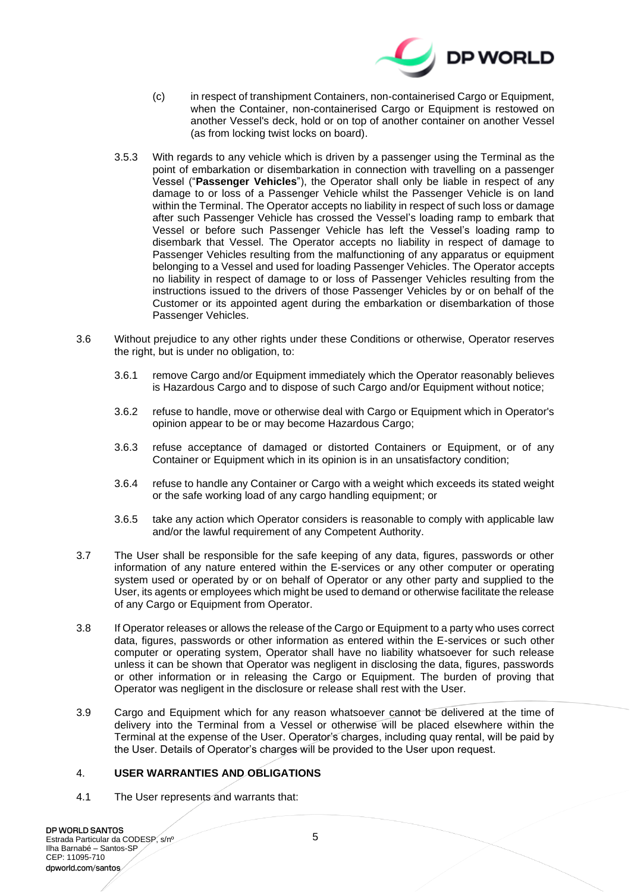

- (c) in respect of transhipment Containers, non-containerised Cargo or Equipment, when the Container, non-containerised Cargo or Equipment is restowed on another Vessel's deck, hold or on top of another container on another Vessel (as from locking twist locks on board).
- 3.5.3 With regards to any vehicle which is driven by a passenger using the Terminal as the point of embarkation or disembarkation in connection with travelling on a passenger Vessel ("**Passenger Vehicles**"), the Operator shall only be liable in respect of any damage to or loss of a Passenger Vehicle whilst the Passenger Vehicle is on land within the Terminal. The Operator accepts no liability in respect of such loss or damage after such Passenger Vehicle has crossed the Vessel's loading ramp to embark that Vessel or before such Passenger Vehicle has left the Vessel's loading ramp to disembark that Vessel. The Operator accepts no liability in respect of damage to Passenger Vehicles resulting from the malfunctioning of any apparatus or equipment belonging to a Vessel and used for loading Passenger Vehicles. The Operator accepts no liability in respect of damage to or loss of Passenger Vehicles resulting from the instructions issued to the drivers of those Passenger Vehicles by or on behalf of the Customer or its appointed agent during the embarkation or disembarkation of those Passenger Vehicles.
- 3.6 Without prejudice to any other rights under these Conditions or otherwise, Operator reserves the right, but is under no obligation, to:
	- 3.6.1 remove Cargo and/or Equipment immediately which the Operator reasonably believes is Hazardous Cargo and to dispose of such Cargo and/or Equipment without notice;
	- 3.6.2 refuse to handle, move or otherwise deal with Cargo or Equipment which in Operator's opinion appear to be or may become Hazardous Cargo;
	- 3.6.3 refuse acceptance of damaged or distorted Containers or Equipment, or of any Container or Equipment which in its opinion is in an unsatisfactory condition;
	- 3.6.4 refuse to handle any Container or Cargo with a weight which exceeds its stated weight or the safe working load of any cargo handling equipment; or
	- 3.6.5 take any action which Operator considers is reasonable to comply with applicable law and/or the lawful requirement of any Competent Authority.
- 3.7 The User shall be responsible for the safe keeping of any data, figures, passwords or other information of any nature entered within the E-services or any other computer or operating system used or operated by or on behalf of Operator or any other party and supplied to the User, its agents or employees which might be used to demand or otherwise facilitate the release of any Cargo or Equipment from Operator.
- 3.8 If Operator releases or allows the release of the Cargo or Equipment to a party who uses correct data, figures, passwords or other information as entered within the E-services or such other computer or operating system, Operator shall have no liability whatsoever for such release unless it can be shown that Operator was negligent in disclosing the data, figures, passwords or other information or in releasing the Cargo or Equipment. The burden of proving that Operator was negligent in the disclosure or release shall rest with the User.
- 3.9 Cargo and Equipment which for any reason whatsoever cannot be delivered at the time of delivery into the Terminal from a Vessel or otherwise will be placed elsewhere within the Terminal at the expense of the User. Operator's charges, including quay rental, will be paid by the User. Details of Operator's charges will be provided to the User upon request.

## <span id="page-4-0"></span>4. **USER WARRANTIES AND OBLIGATIONS**

4.1 The User represents and warrants that: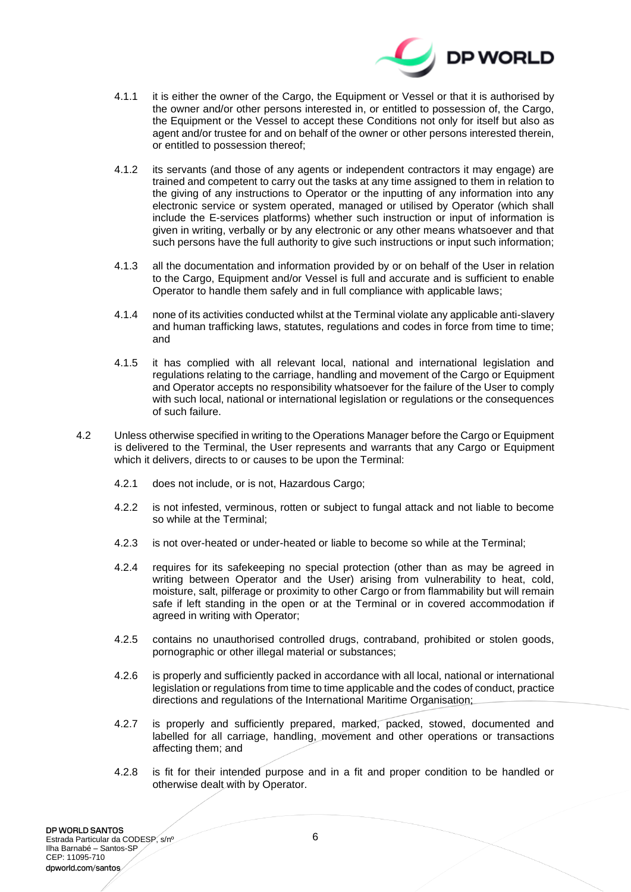

- 4.1.1 it is either the owner of the Cargo, the Equipment or Vessel or that it is authorised by the owner and/or other persons interested in, or entitled to possession of, the Cargo, the Equipment or the Vessel to accept these Conditions not only for itself but also as agent and/or trustee for and on behalf of the owner or other persons interested therein, or entitled to possession thereof;
- 4.1.2 its servants (and those of any agents or independent contractors it may engage) are trained and competent to carry out the tasks at any time assigned to them in relation to the giving of any instructions to Operator or the inputting of any information into any electronic service or system operated, managed or utilised by Operator (which shall include the E-services platforms) whether such instruction or input of information is given in writing, verbally or by any electronic or any other means whatsoever and that such persons have the full authority to give such instructions or input such information;
- 4.1.3 all the documentation and information provided by or on behalf of the User in relation to the Cargo, Equipment and/or Vessel is full and accurate and is sufficient to enable Operator to handle them safely and in full compliance with applicable laws;
- 4.1.4 none of its activities conducted whilst at the Terminal violate any applicable anti-slavery and human trafficking laws, statutes, regulations and codes in force from time to time; and
- 4.1.5 it has complied with all relevant local, national and international legislation and regulations relating to the carriage, handling and movement of the Cargo or Equipment and Operator accepts no responsibility whatsoever for the failure of the User to comply with such local, national or international legislation or regulations or the consequences of such failure.
- 4.2 Unless otherwise specified in writing to the Operations Manager before the Cargo or Equipment is delivered to the Terminal, the User represents and warrants that any Cargo or Equipment which it delivers, directs to or causes to be upon the Terminal:
	- 4.2.1 does not include, or is not, Hazardous Cargo;
	- 4.2.2 is not infested, verminous, rotten or subject to fungal attack and not liable to become so while at the Terminal;
	- 4.2.3 is not over-heated or under-heated or liable to become so while at the Terminal;
	- 4.2.4 requires for its safekeeping no special protection (other than as may be agreed in writing between Operator and the User) arising from vulnerability to heat, cold, moisture, salt, pilferage or proximity to other Cargo or from flammability but will remain safe if left standing in the open or at the Terminal or in covered accommodation if agreed in writing with Operator;
	- 4.2.5 contains no unauthorised controlled drugs, contraband, prohibited or stolen goods, pornographic or other illegal material or substances;
	- 4.2.6 is properly and sufficiently packed in accordance with all local, national or international legislation or regulations from time to time applicable and the codes of conduct, practice directions and regulations of the International Maritime Organisation;
	- 4.2.7 is properly and sufficiently prepared, marked, packed, stowed, documented and labelled for all carriage, handling, movement and other operations or transactions affecting them; and
	- 4.2.8 is fit for their intended purpose and in a fit and proper condition to be handled or otherwise dealt with by Operator.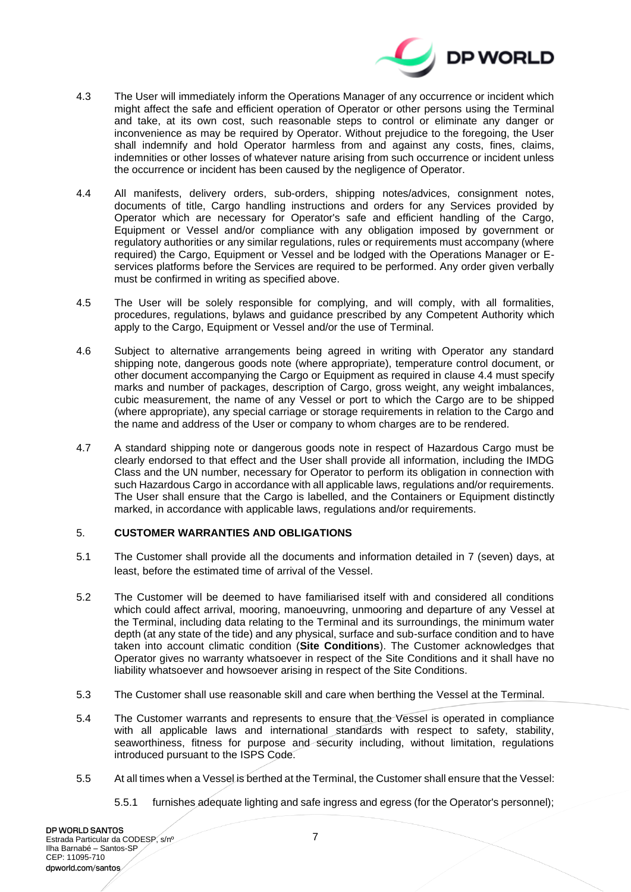

- 4.3 The User will immediately inform the Operations Manager of any occurrence or incident which might affect the safe and efficient operation of Operator or other persons using the Terminal and take, at its own cost, such reasonable steps to control or eliminate any danger or inconvenience as may be required by Operator. Without prejudice to the foregoing, the User shall indemnify and hold Operator harmless from and against any costs, fines, claims, indemnities or other losses of whatever nature arising from such occurrence or incident unless the occurrence or incident has been caused by the negligence of Operator.
- <span id="page-6-0"></span>4.4 All manifests, delivery orders, sub-orders, shipping notes/advices, consignment notes, documents of title, Cargo handling instructions and orders for any Services provided by Operator which are necessary for Operator's safe and efficient handling of the Cargo, Equipment or Vessel and/or compliance with any obligation imposed by government or regulatory authorities or any similar regulations, rules or requirements must accompany (where required) the Cargo, Equipment or Vessel and be lodged with the Operations Manager or Eservices platforms before the Services are required to be performed. Any order given verbally must be confirmed in writing as specified above.
- 4.5 The User will be solely responsible for complying, and will comply, with all formalities, procedures, regulations, bylaws and guidance prescribed by any Competent Authority which apply to the Cargo, Equipment or Vessel and/or the use of Terminal.
- 4.6 Subject to alternative arrangements being agreed in writing with Operator any standard shipping note, dangerous goods note (where appropriate), temperature control document, or other document accompanying the Cargo or Equipment as required in clause [4.4](#page-6-0) must specify marks and number of packages, description of Cargo, gross weight, any weight imbalances, cubic measurement, the name of any Vessel or port to which the Cargo are to be shipped (where appropriate), any special carriage or storage requirements in relation to the Cargo and the name and address of the User or company to whom charges are to be rendered.
- 4.7 A standard shipping note or dangerous goods note in respect of Hazardous Cargo must be clearly endorsed to that effect and the User shall provide all information, including the IMDG Class and the UN number, necessary for Operator to perform its obligation in connection with such Hazardous Cargo in accordance with all applicable laws, regulations and/or requirements. The User shall ensure that the Cargo is labelled, and the Containers or Equipment distinctly marked, in accordance with applicable laws, regulations and/or requirements.

## <span id="page-6-1"></span>5. **CUSTOMER WARRANTIES AND OBLIGATIONS**

- 5.1 The Customer shall provide all the documents and information detailed in 7 (seven) days, at least, before the estimated time of arrival of the Vessel.
- 5.2 The Customer will be deemed to have familiarised itself with and considered all conditions which could affect arrival, mooring, manoeuvring, unmooring and departure of any Vessel at the Terminal, including data relating to the Terminal and its surroundings, the minimum water depth (at any state of the tide) and any physical, surface and sub-surface condition and to have taken into account climatic condition (**Site Conditions**). The Customer acknowledges that Operator gives no warranty whatsoever in respect of the Site Conditions and it shall have no liability whatsoever and howsoever arising in respect of the Site Conditions.
- 5.3 The Customer shall use reasonable skill and care when berthing the Vessel at the Terminal.
- 5.4 The Customer warrants and represents to ensure that the Vessel is operated in compliance with all applicable laws and international standards with respect to safety, stability, seaworthiness, fitness for purpose and security including, without limitation, regulations introduced pursuant to the ISPS Code.
- 5.5 At all times when a Vessel is berthed at the Terminal, the Customer shall ensure that the Vessel:
	- 5.5.1 furnishes adequate lighting and safe ingress and egress (for the Operator's personnel);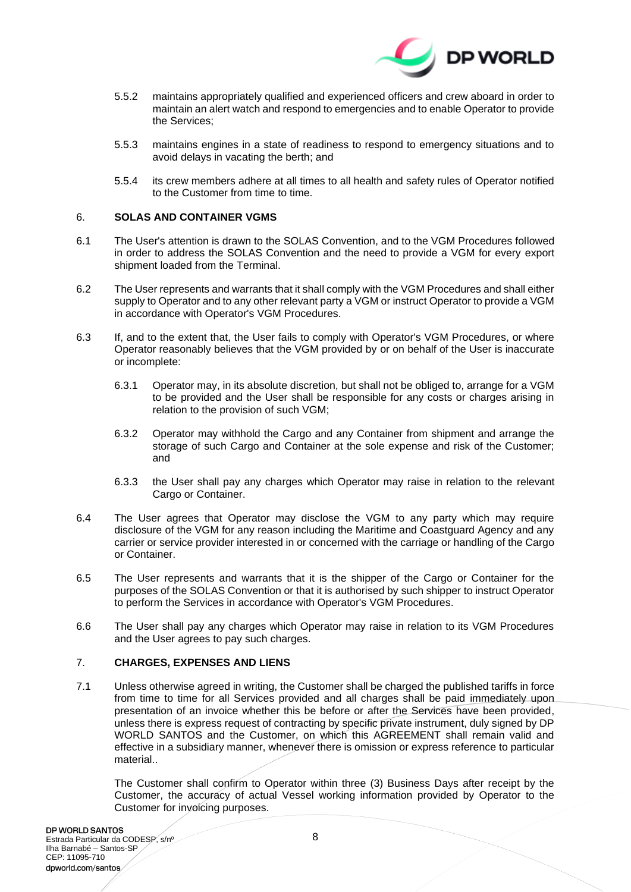

- 5.5.2 maintains appropriately qualified and experienced officers and crew aboard in order to maintain an alert watch and respond to emergencies and to enable Operator to provide the Services;
- 5.5.3 maintains engines in a state of readiness to respond to emergency situations and to avoid delays in vacating the berth; and
- 5.5.4 its crew members adhere at all times to all health and safety rules of Operator notified to the Customer from time to time.

### <span id="page-7-1"></span>6. **SOLAS AND CONTAINER VGMS**

- 6.1 The User's attention is drawn to the SOLAS Convention, and to the VGM Procedures followed in order to address the SOLAS Convention and the need to provide a VGM for every export shipment loaded from the Terminal.
- 6.2 The User represents and warrants that it shall comply with the VGM Procedures and shall either supply to Operator and to any other relevant party a VGM or instruct Operator to provide a VGM in accordance with Operator's VGM Procedures.
- 6.3 If, and to the extent that, the User fails to comply with Operator's VGM Procedures, or where Operator reasonably believes that the VGM provided by or on behalf of the User is inaccurate or incomplete:
	- 6.3.1 Operator may, in its absolute discretion, but shall not be obliged to, arrange for a VGM to be provided and the User shall be responsible for any costs or charges arising in relation to the provision of such VGM;
	- 6.3.2 Operator may withhold the Cargo and any Container from shipment and arrange the storage of such Cargo and Container at the sole expense and risk of the Customer; and
	- 6.3.3 the User shall pay any charges which Operator may raise in relation to the relevant Cargo or Container.
- 6.4 The User agrees that Operator may disclose the VGM to any party which may require disclosure of the VGM for any reason including the Maritime and Coastguard Agency and any carrier or service provider interested in or concerned with the carriage or handling of the Cargo or Container.
- 6.5 The User represents and warrants that it is the shipper of the Cargo or Container for the purposes of the SOLAS Convention or that it is authorised by such shipper to instruct Operator to perform the Services in accordance with Operator's VGM Procedures.
- 6.6 The User shall pay any charges which Operator may raise in relation to its VGM Procedures and the User agrees to pay such charges.

## <span id="page-7-2"></span>7. **CHARGES, EXPENSES AND LIENS**

7.1 Unless otherwise agreed in writing, the Customer shall be charged the published tariffs in force from time to time for all Services provided and all charges shall be paid immediately upon presentation of an invoice whether this be before or after the Services have been provided, unless there is express request of contracting by specific private instrument, duly signed by DP WORLD SANTOS and the Customer, on which this AGREEMENT shall remain valid and effective in a subsidiary manner, whenever there is omission or express reference to particular material..

<span id="page-7-0"></span>The Customer shall confirm to Operator within three (3) Business Days after receipt by the Customer, the accuracy of actual Vessel working information provided by Operator to the Customer for invoicing purposes.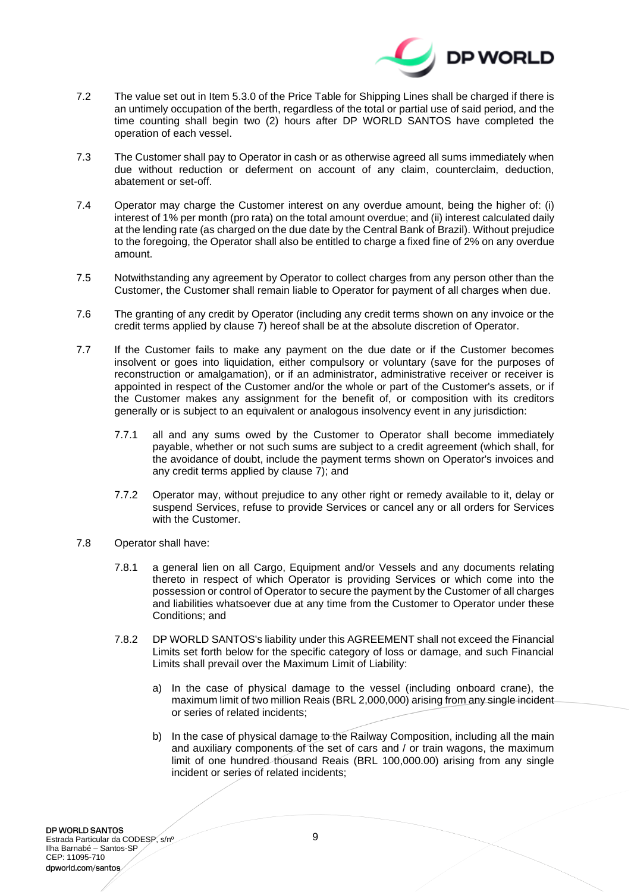

- 7.2 The value set out in Item 5.3.0 of the Price Table for Shipping Lines shall be charged if there is an untimely occupation of the berth, regardless of the total or partial use of said period, and the time counting shall begin two (2) hours after DP WORLD SANTOS have completed the operation of each vessel.
- 7.3 The Customer shall pay to Operator in cash or as otherwise agreed all sums immediately when due without reduction or deferment on account of any claim, counterclaim, deduction, abatement or set-off.
- 7.4 Operator may charge the Customer interest on any overdue amount, being the higher of: (i) interest of 1% per month (pro rata) on the total amount overdue; and (ii) interest calculated daily at the lending rate (as charged on the due date by the Central Bank of Brazil). Without prejudice to the foregoing, the Operator shall also be entitled to charge a fixed fine of 2% on any overdue amount.
- 7.5 Notwithstanding any agreement by Operator to collect charges from any person other than the Customer, the Customer shall remain liable to Operator for payment of all charges when due.
- 7.6 The granting of any credit by Operator (including any credit terms shown on any invoice or the credit terms applied by clause [7\)](#page-7-0) hereof shall be at the absolute discretion of Operator.
- 7.7 If the Customer fails to make any payment on the due date or if the Customer becomes insolvent or goes into liquidation, either compulsory or voluntary (save for the purposes of reconstruction or amalgamation), or if an administrator, administrative receiver or receiver is appointed in respect of the Customer and/or the whole or part of the Customer's assets, or if the Customer makes any assignment for the benefit of, or composition with its creditors generally or is subject to an equivalent or analogous insolvency event in any jurisdiction:
	- 7.7.1 all and any sums owed by the Customer to Operator shall become immediately payable, whether or not such sums are subject to a credit agreement (which shall, for the avoidance of doubt, include the payment terms shown on Operator's invoices and any credit terms applied by clause [7\)](#page-7-0); and
	- 7.7.2 Operator may, without prejudice to any other right or remedy available to it, delay or suspend Services, refuse to provide Services or cancel any or all orders for Services with the Customer.
- <span id="page-8-0"></span>7.8 Operator shall have:
	- 7.8.1 a general lien on all Cargo, Equipment and/or Vessels and any documents relating thereto in respect of which Operator is providing Services or which come into the possession or control of Operator to secure the payment by the Customer of all charges and liabilities whatsoever due at any time from the Customer to Operator under these Conditions; and
	- 7.8.2 DP WORLD SANTOS's liability under this AGREEMENT shall not exceed the Financial Limits set forth below for the specific category of loss or damage, and such Financial Limits shall prevail over the Maximum Limit of Liability:
		- a) In the case of physical damage to the vessel (including onboard crane), the maximum limit of two million Reais (BRL 2,000,000) arising from any single incident or series of related incidents;
		- b) In the case of physical damage to the Railway Composition, including all the main and auxiliary components of the set of cars and / or train wagons, the maximum limit of one hundred thousand Reais (BRL 100,000.00) arising from any single incident or series of related incidents;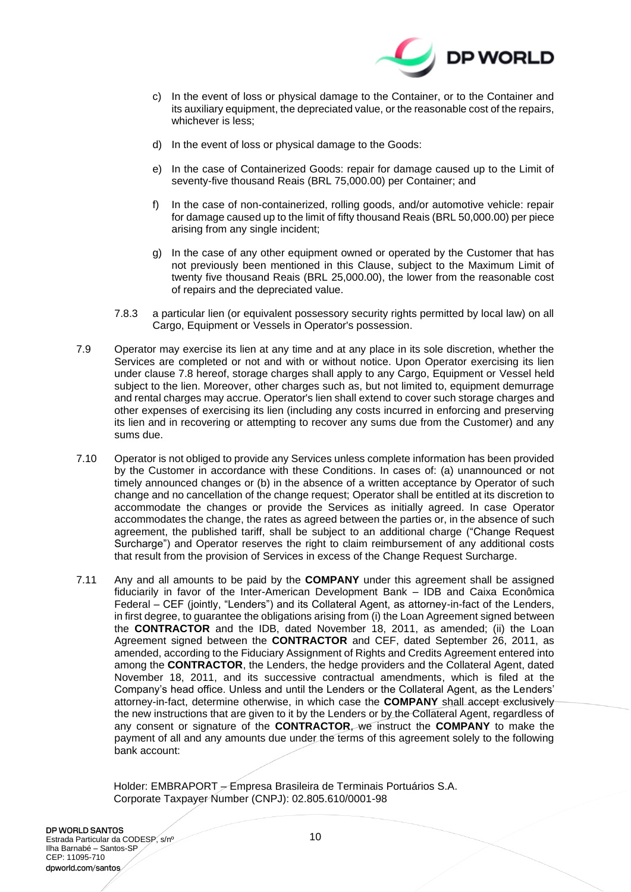

- c) In the event of loss or physical damage to the Container, or to the Container and its auxiliary equipment, the depreciated value, or the reasonable cost of the repairs, whichever is less;
- d) In the event of loss or physical damage to the Goods:
- e) In the case of Containerized Goods: repair for damage caused up to the Limit of seventy-five thousand Reais (BRL 75,000.00) per Container; and
- f) In the case of non-containerized, rolling goods, and/or automotive vehicle: repair for damage caused up to the limit of fifty thousand Reais (BRL 50,000.00) per piece arising from any single incident;
- g) In the case of any other equipment owned or operated by the Customer that has not previously been mentioned in this Clause, subject to the Maximum Limit of twenty five thousand Reais (BRL 25,000.00), the lower from the reasonable cost of repairs and the depreciated value.
- 7.8.3 a particular lien (or equivalent possessory security rights permitted by local law) on all Cargo, Equipment or Vessels in Operator's possession.
- 7.9 Operator may exercise its lien at any time and at any place in its sole discretion, whether the Services are completed or not and with or without notice. Upon Operator exercising its lien under clause [7.8](#page-8-0) hereof, storage charges shall apply to any Cargo, Equipment or Vessel held subject to the lien. Moreover, other charges such as, but not limited to, equipment demurrage and rental charges may accrue. Operator's lien shall extend to cover such storage charges and other expenses of exercising its lien (including any costs incurred in enforcing and preserving its lien and in recovering or attempting to recover any sums due from the Customer) and any sums due.
- 7.10 Operator is not obliged to provide any Services unless complete information has been provided by the Customer in accordance with these Conditions. In cases of: (a) unannounced or not timely announced changes or (b) in the absence of a written acceptance by Operator of such change and no cancellation of the change request; Operator shall be entitled at its discretion to accommodate the changes or provide the Services as initially agreed. In case Operator accommodates the change, the rates as agreed between the parties or, in the absence of such agreement, the published tariff, shall be subject to an additional charge ("Change Request Surcharge") and Operator reserves the right to claim reimbursement of any additional costs that result from the provision of Services in excess of the Change Request Surcharge.
- 7.11 Any and all amounts to be paid by the **COMPANY** under this agreement shall be assigned fiduciarily in favor of the Inter-American Development Bank – IDB and Caixa Econômica Federal – CEF (jointly, "Lenders") and its Collateral Agent, as attorney-in-fact of the Lenders, in first degree, to guarantee the obligations arising from (i) the Loan Agreement signed between the **CONTRACTOR** and the IDB, dated November 18, 2011, as amended; (ii) the Loan Agreement signed between the **CONTRACTOR** and CEF, dated September 26, 2011, as amended, according to the Fiduciary Assignment of Rights and Credits Agreement entered into among the **CONTRACTOR**, the Lenders, the hedge providers and the Collateral Agent, dated November 18, 2011, and its successive contractual amendments, which is filed at the Company's head office. Unless and until the Lenders or the Collateral Agent, as the Lenders' attorney-in-fact, determine otherwise, in which case the **COMPANY** shall accept exclusively the new instructions that are given to it by the Lenders or by the Collateral Agent, regardless of any consent or signature of the **CONTRACTOR**, we instruct the **COMPANY** to make the payment of all and any amounts due under the terms of this agreement solely to the following bank account:

Holder: EMBRAPORT – Empresa Brasileira de Terminais Portuários S.A. Corporate Taxpayer Number (CNPJ): 02.805.610/0001-98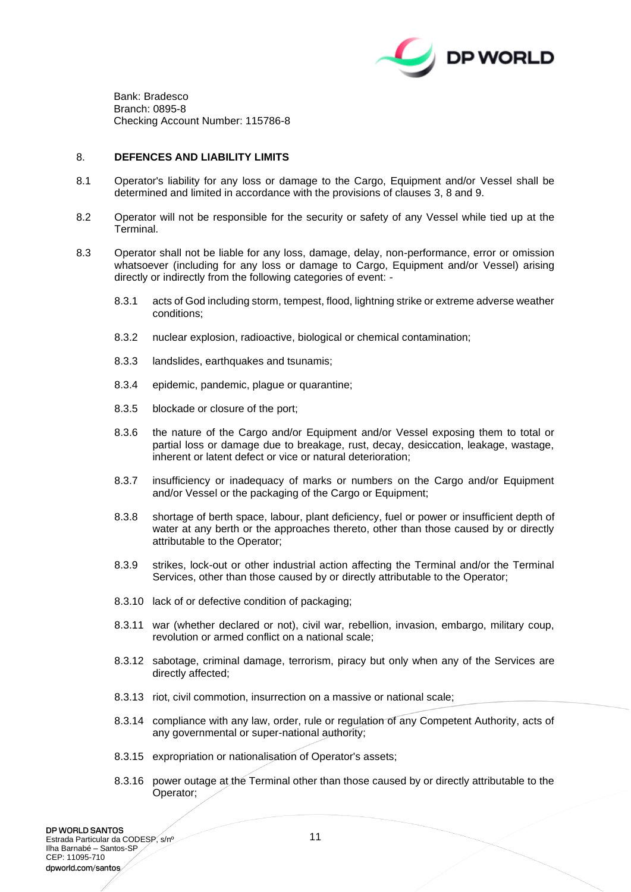

Bank: Bradesco Branch: 0895-8 Checking Account Number: 115786-8

#### <span id="page-10-0"></span>8. **DEFENCES AND LIABILITY LIMITS**

- 8.1 Operator's liability for any loss or damage to the Cargo, Equipment and/or Vessel shall be determined and limited in accordance with the provisions of clauses [3,](#page-3-1) [8](#page-10-0) and [9.](#page-11-0)
- 8.2 Operator will not be responsible for the security or safety of any Vessel while tied up at the Terminal.
- 8.3 Operator shall not be liable for any loss, damage, delay, non-performance, error or omission whatsoever (including for any loss or damage to Cargo, Equipment and/or Vessel) arising directly or indirectly from the following categories of event: -
	- 8.3.1 acts of God including storm, tempest, flood, lightning strike or extreme adverse weather conditions;
	- 8.3.2 nuclear explosion, radioactive, biological or chemical contamination;
	- 8.3.3 landslides, earthquakes and tsunamis;
	- 8.3.4 epidemic, pandemic, plague or quarantine;
	- 8.3.5 blockade or closure of the port;
	- 8.3.6 the nature of the Cargo and/or Equipment and/or Vessel exposing them to total or partial loss or damage due to breakage, rust, decay, desiccation, leakage, wastage, inherent or latent defect or vice or natural deterioration;
	- 8.3.7 insufficiency or inadequacy of marks or numbers on the Cargo and/or Equipment and/or Vessel or the packaging of the Cargo or Equipment;
	- 8.3.8 shortage of berth space, labour, plant deficiency, fuel or power or insufficient depth of water at any berth or the approaches thereto, other than those caused by or directly attributable to the Operator;
	- 8.3.9 strikes, lock-out or other industrial action affecting the Terminal and/or the Terminal Services, other than those caused by or directly attributable to the Operator;
	- 8.3.10 lack of or defective condition of packaging;
	- 8.3.11 war (whether declared or not), civil war, rebellion, invasion, embargo, military coup, revolution or armed conflict on a national scale;
	- 8.3.12 sabotage, criminal damage, terrorism, piracy but only when any of the Services are directly affected;
	- 8.3.13 riot, civil commotion, insurrection on a massive or national scale;
	- 8.3.14 compliance with any law, order, rule or regulation of any Competent Authority, acts of any governmental or super-national authority;
	- 8.3.15 expropriation or nationalisation of Operator's assets;
	- 8.3.16 power outage at the Terminal other than those caused by or directly attributable to the Operator;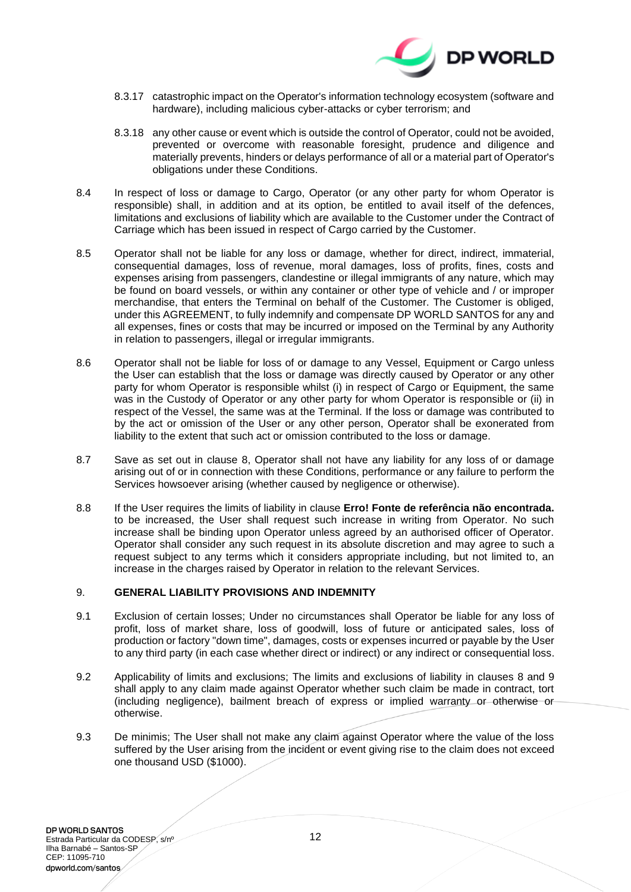

- 8.3.17 catastrophic impact on the Operator's information technology ecosystem (software and hardware), including malicious cyber-attacks or cyber terrorism; and
- 8.3.18 any other cause or event which is outside the control of Operator, could not be avoided, prevented or overcome with reasonable foresight, prudence and diligence and materially prevents, hinders or delays performance of all or a material part of Operator's obligations under these Conditions.
- 8.4 In respect of loss or damage to Cargo, Operator (or any other party for whom Operator is responsible) shall, in addition and at its option, be entitled to avail itself of the defences, limitations and exclusions of liability which are available to the Customer under the Contract of Carriage which has been issued in respect of Cargo carried by the Customer.
- 8.5 Operator shall not be liable for any loss or damage, whether for direct, indirect, immaterial, consequential damages, loss of revenue, moral damages, loss of profits, fines, costs and expenses arising from passengers, clandestine or illegal immigrants of any nature, which may be found on board vessels, or within any container or other type of vehicle and / or improper merchandise, that enters the Terminal on behalf of the Customer. The Customer is obliged, under this AGREEMENT, to fully indemnify and compensate DP WORLD SANTOS for any and all expenses, fines or costs that may be incurred or imposed on the Terminal by any Authority in relation to passengers, illegal or irregular immigrants.
- 8.6 Operator shall not be liable for loss of or damage to any Vessel, Equipment or Cargo unless the User can establish that the loss or damage was directly caused by Operator or any other party for whom Operator is responsible whilst (i) in respect of Cargo or Equipment, the same was in the Custody of Operator or any other party for whom Operator is responsible or (ii) in respect of the Vessel, the same was at the Terminal. If the loss or damage was contributed to by the act or omission of the User or any other person, Operator shall be exonerated from liability to the extent that such act or omission contributed to the loss or damage.
- <span id="page-11-1"></span>8.7 Save as set out in clause [8,](#page-10-0) Operator shall not have any liability for any loss of or damage arising out of or in connection with these Conditions, performance or any failure to perform the Services howsoever arising (whether caused by negligence or otherwise).
- 8.8 If the User requires the limits of liability in clause **Erro! Fonte de referência não encontrada.** to be increased, the User shall request such increase in writing from Operator. No such increase shall be binding upon Operator unless agreed by an authorised officer of Operator. Operator shall consider any such request in its absolute discretion and may agree to such a request subject to any terms which it considers appropriate including, but not limited to, an increase in the charges raised by Operator in relation to the relevant Services.

## <span id="page-11-0"></span>9. **GENERAL LIABILITY PROVISIONS AND INDEMNITY**

- 9.1 Exclusion of certain losses; Under no circumstances shall Operator be liable for any loss of profit, loss of market share, loss of goodwill, loss of future or anticipated sales, loss of production or factory "down time", damages, costs or expenses incurred or payable by the User to any third party (in each case whether direct or indirect) or any indirect or consequential loss.
- 9.2 Applicability of limits and exclusions; The limits and exclusions of liability in clauses [8](#page-10-0) and [9](#page-11-0) shall apply to any claim made against Operator whether such claim be made in contract, tort (including negligence), bailment breach of express or implied warranty or otherwise or otherwise.
- 9.3 De minimis; The User shall not make any claim against Operator where the value of the loss suffered by the User arising from the incident or event giving rise to the claim does not exceed one thousand USD (\$1000).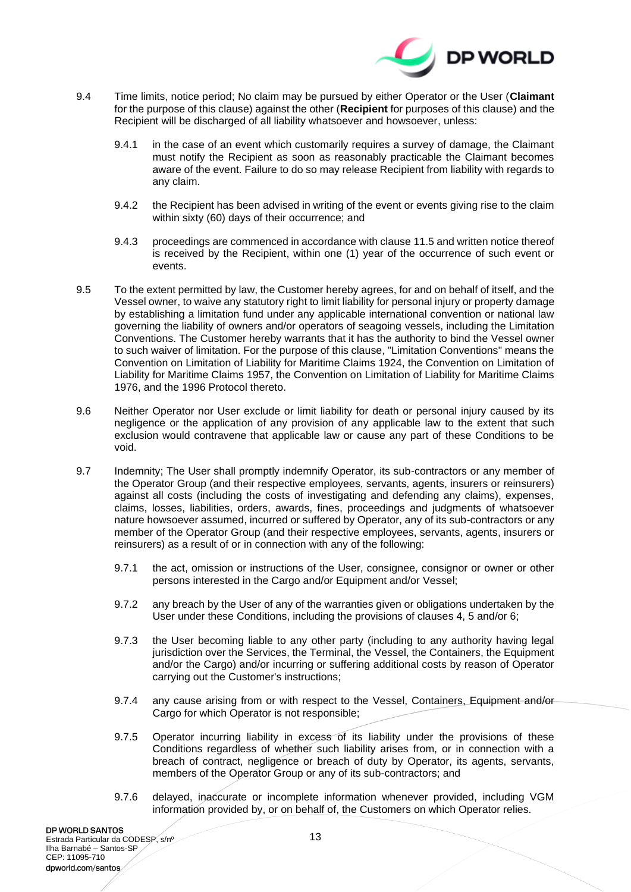

- 9.4 Time limits, notice period; No claim may be pursued by either Operator or the User (**Claimant**  for the purpose of this clause) against the other (**Recipient** for purposes of this clause) and the Recipient will be discharged of all liability whatsoever and howsoever, unless:
	- 9.4.1 in the case of an event which customarily requires a survey of damage, the Claimant must notify the Recipient as soon as reasonably practicable the Claimant becomes aware of the event. Failure to do so may release Recipient from liability with regards to any claim.
	- 9.4.2 the Recipient has been advised in writing of the event or events giving rise to the claim within sixty (60) days of their occurrence; and
	- 9.4.3 proceedings are commenced in accordance with clause [11.5](#page-16-0) and written notice thereof is received by the Recipient, within one (1) year of the occurrence of such event or events.
- 9.5 To the extent permitted by law, the Customer hereby agrees, for and on behalf of itself, and the Vessel owner, to waive any statutory right to limit liability for personal injury or property damage by establishing a limitation fund under any applicable international convention or national law governing the liability of owners and/or operators of seagoing vessels, including the Limitation Conventions. The Customer hereby warrants that it has the authority to bind the Vessel owner to such waiver of limitation. For the purpose of this clause, "Limitation Conventions" means the Convention on Limitation of Liability for Maritime Claims 1924, the Convention on Limitation of Liability for Maritime Claims 1957, the Convention on Limitation of Liability for Maritime Claims 1976, and the 1996 Protocol thereto.
- 9.6 Neither Operator nor User exclude or limit liability for death or personal injury caused by its negligence or the application of any provision of any applicable law to the extent that such exclusion would contravene that applicable law or cause any part of these Conditions to be void.
- 9.7 Indemnity; The User shall promptly indemnify Operator, its sub-contractors or any member of the Operator Group (and their respective employees, servants, agents, insurers or reinsurers) against all costs (including the costs of investigating and defending any claims), expenses, claims, losses, liabilities, orders, awards, fines, proceedings and judgments of whatsoever nature howsoever assumed, incurred or suffered by Operator, any of its sub-contractors or any member of the Operator Group (and their respective employees, servants, agents, insurers or reinsurers) as a result of or in connection with any of the following:
	- 9.7.1 the act, omission or instructions of the User, consignee, consignor or owner or other persons interested in the Cargo and/or Equipment and/or Vessel;
	- 9.7.2 any breach by the User of any of the warranties given or obligations undertaken by the User under these Conditions, including the provisions of clauses [4,](#page-4-0) [5](#page-6-1) and/or [6;](#page-7-1)
	- 9.7.3 the User becoming liable to any other party (including to any authority having legal jurisdiction over the Services, the Terminal, the Vessel, the Containers, the Equipment and/or the Cargo) and/or incurring or suffering additional costs by reason of Operator carrying out the Customer's instructions;
	- 9.7.4 any cause arising from or with respect to the Vessel, Containers, Equipment and/or Cargo for which Operator is not responsible;
	- 9.7.5 Operator incurring liability in excess of its liability under the provisions of these Conditions regardless of whether such liability arises from, or in connection with a breach of contract, negligence or breach of duty by Operator, its agents, servants, members of the Operator Group or any of its sub-contractors; and
	- 9.7.6 delayed, inaccurate or incomplete information whenever provided, including VGM information provided by, or on behalf of, the Customers on which Operator relies.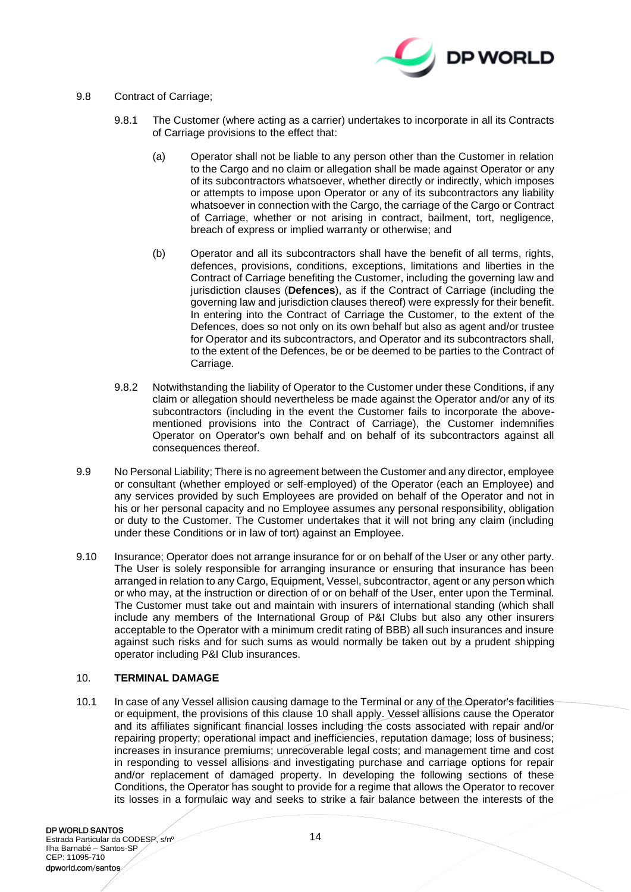

## <span id="page-13-0"></span>9.8 Contract of Carriage;

- 9.8.1 The Customer (where acting as a carrier) undertakes to incorporate in all its Contracts of Carriage provisions to the effect that:
	- (a) Operator shall not be liable to any person other than the Customer in relation to the Cargo and no claim or allegation shall be made against Operator or any of its subcontractors whatsoever, whether directly or indirectly, which imposes or attempts to impose upon Operator or any of its subcontractors any liability whatsoever in connection with the Cargo, the carriage of the Cargo or Contract of Carriage, whether or not arising in contract, bailment, tort, negligence, breach of express or implied warranty or otherwise; and
	- (b) Operator and all its subcontractors shall have the benefit of all terms, rights, defences, provisions, conditions, exceptions, limitations and liberties in the Contract of Carriage benefiting the Customer, including the governing law and jurisdiction clauses (**Defences**), as if the Contract of Carriage (including the governing law and jurisdiction clauses thereof) were expressly for their benefit. In entering into the Contract of Carriage the Customer, to the extent of the Defences, does so not only on its own behalf but also as agent and/or trustee for Operator and its subcontractors, and Operator and its subcontractors shall, to the extent of the Defences, be or be deemed to be parties to the Contract of Carriage.
- 9.8.2 Notwithstanding the liability of Operator to the Customer under these Conditions, if any claim or allegation should nevertheless be made against the Operator and/or any of its subcontractors (including in the event the Customer fails to incorporate the abovementioned provisions into the Contract of Carriage), the Customer indemnifies Operator on Operator's own behalf and on behalf of its subcontractors against all consequences thereof.
- 9.9 No Personal Liability; There is no agreement between the Customer and any director, employee or consultant (whether employed or self-employed) of the Operator (each an Employee) and any services provided by such Employees are provided on behalf of the Operator and not in his or her personal capacity and no Employee assumes any personal responsibility, obligation or duty to the Customer. The Customer undertakes that it will not bring any claim (including under these Conditions or in law of tort) against an Employee.
- 9.10 Insurance; Operator does not arrange insurance for or on behalf of the User or any other party. The User is solely responsible for arranging insurance or ensuring that insurance has been arranged in relation to any Cargo, Equipment, Vessel, subcontractor, agent or any person which or who may, at the instruction or direction of or on behalf of the User, enter upon the Terminal. The Customer must take out and maintain with insurers of international standing (which shall include any members of the International Group of P&I Clubs but also any other insurers acceptable to the Operator with a minimum credit rating of BBB) all such insurances and insure against such risks and for such sums as would normally be taken out by a prudent shipping operator including P&I Club insurances.

## <span id="page-13-1"></span>10. **TERMINAL DAMAGE**

10.1 In case of any Vessel allision causing damage to the Terminal or any of the Operator's facilities or equipment, the provisions of this clause [10](#page-13-1) shall apply. Vessel allisions cause the Operator and its affiliates significant financial losses including the costs associated with repair and/or repairing property; operational impact and inefficiencies, reputation damage; loss of business; increases in insurance premiums; unrecoverable legal costs; and management time and cost in responding to vessel allisions and investigating purchase and carriage options for repair and/or replacement of damaged property. In developing the following sections of these Conditions, the Operator has sought to provide for a regime that allows the Operator to recover its losses in a formulaic way and seeks to strike a fair balance between the interests of the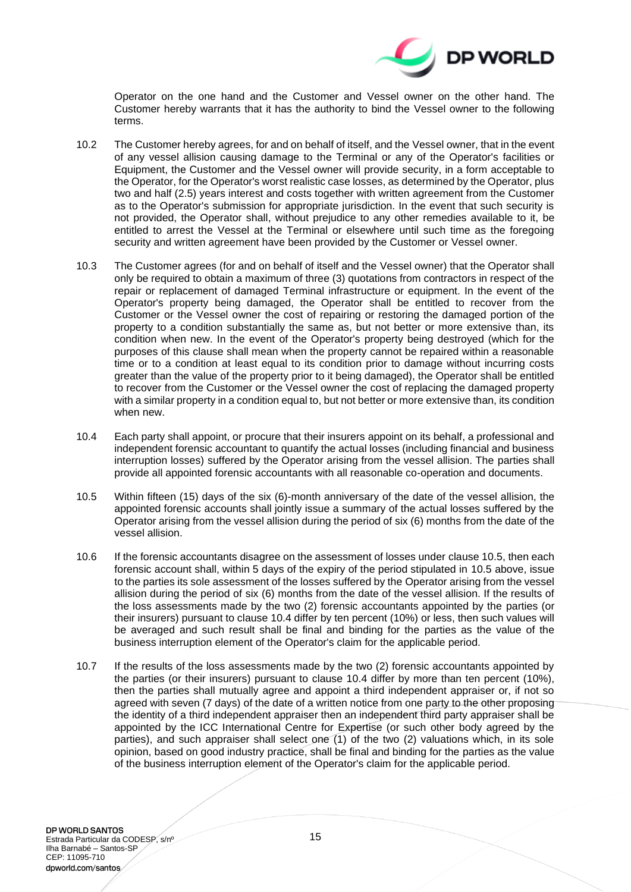

Operator on the one hand and the Customer and Vessel owner on the other hand. The Customer hereby warrants that it has the authority to bind the Vessel owner to the following terms.

- 10.2 The Customer hereby agrees, for and on behalf of itself, and the Vessel owner, that in the event of any vessel allision causing damage to the Terminal or any of the Operator's facilities or Equipment, the Customer and the Vessel owner will provide security, in a form acceptable to the Operator, for the Operator's worst realistic case losses, as determined by the Operator, plus two and half (2.5) years interest and costs together with written agreement from the Customer as to the Operator's submission for appropriate jurisdiction. In the event that such security is not provided, the Operator shall, without prejudice to any other remedies available to it, be entitled to arrest the Vessel at the Terminal or elsewhere until such time as the foregoing security and written agreement have been provided by the Customer or Vessel owner.
- 10.3 The Customer agrees (for and on behalf of itself and the Vessel owner) that the Operator shall only be required to obtain a maximum of three (3) quotations from contractors in respect of the repair or replacement of damaged Terminal infrastructure or equipment. In the event of the Operator's property being damaged, the Operator shall be entitled to recover from the Customer or the Vessel owner the cost of repairing or restoring the damaged portion of the property to a condition substantially the same as, but not better or more extensive than, its condition when new. In the event of the Operator's property being destroyed (which for the purposes of this clause shall mean when the property cannot be repaired within a reasonable time or to a condition at least equal to its condition prior to damage without incurring costs greater than the value of the property prior to it being damaged), the Operator shall be entitled to recover from the Customer or the Vessel owner the cost of replacing the damaged property with a similar property in a condition equal to, but not better or more extensive than, its condition when new.
- <span id="page-14-0"></span>10.4 Each party shall appoint, or procure that their insurers appoint on its behalf, a professional and independent forensic accountant to quantify the actual losses (including financial and business interruption losses) suffered by the Operator arising from the vessel allision. The parties shall provide all appointed forensic accountants with all reasonable co-operation and documents.
- <span id="page-14-1"></span>10.5 Within fifteen (15) days of the six (6)-month anniversary of the date of the vessel allision, the appointed forensic accounts shall jointly issue a summary of the actual losses suffered by the Operator arising from the vessel allision during the period of six (6) months from the date of the vessel allision.
- 10.6 If the forensic accountants disagree on the assessment of losses under clause 10.5, then each forensic account shall, within 5 days of the expiry of the period stipulated in 10.5 above, issue to the parties its sole assessment of the losses suffered by the Operator arising from the vessel allision during the period of six (6) months from the date of the vessel allision. If the results of the loss assessments made by the two (2) forensic accountants appointed by the parties (or their insurers) pursuant to clause [10.4](#page-14-0) differ by ten percent (10%) or less, then such values will be averaged and such result shall be final and binding for the parties as the value of the business interruption element of the Operator's claim for the applicable period.
- <span id="page-14-2"></span>10.7 If the results of the loss assessments made by the two (2) forensic accountants appointed by the parties (or their insurers) pursuant to clause [10.4](#page-14-0) differ by more than ten percent (10%), then the parties shall mutually agree and appoint a third independent appraiser or, if not so agreed with seven (7 days) of the date of a written notice from one party to the other proposing the identity of a third independent appraiser then an independent third party appraiser shall be appointed by the ICC International Centre for Expertise (or such other body agreed by the parties), and such appraiser shall select one (1) of the two (2) valuations which, in its sole opinion, based on good industry practice, shall be final and binding for the parties as the value of the business interruption element of the Operator's claim for the applicable period.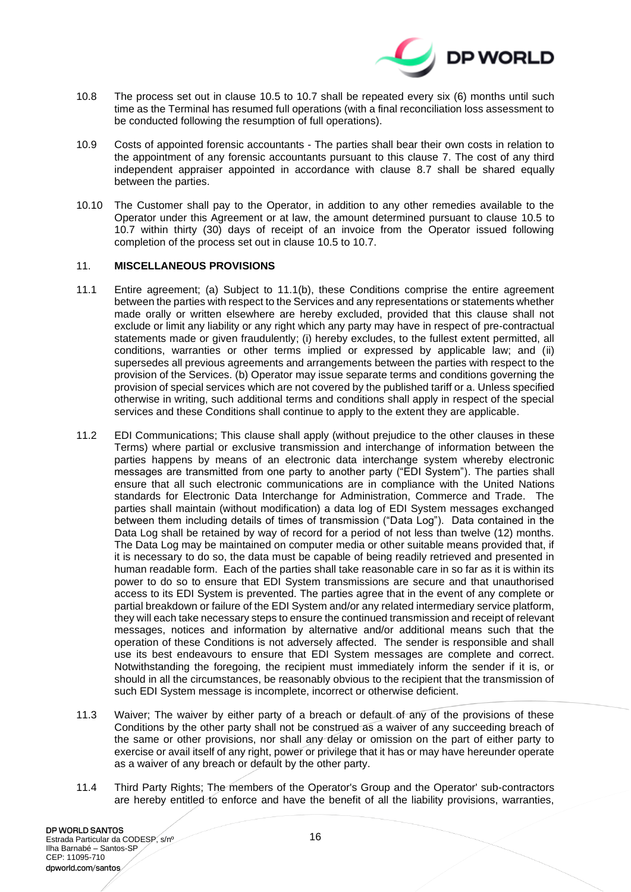

- 10.8 The process set out in clause [10.5](#page-14-1) to [10.7](#page-14-2) shall be repeated every six (6) months until such time as the Terminal has resumed full operations (with a final reconciliation loss assessment to be conducted following the resumption of full operations).
- 10.9 Costs of appointed forensic accountants The parties shall bear their own costs in relation to the appointment of any forensic accountants pursuant to this clause [7.](#page-7-2) The cost of any third independent appraiser appointed in accordance with clause [8.7](#page-11-1) shall be shared equally between the parties.
- 10.10 The Customer shall pay to the Operator, in addition to any other remedies available to the Operator under this Agreement or at law, the amount determined pursuant to clause [10.5](#page-14-1) to [10.7](#page-14-2) within thirty (30) days of receipt of an invoice from the Operator issued following completion of the process set out in clause [10.5](#page-14-1) to [10.7.](#page-14-2)

#### 11. **MISCELLANEOUS PROVISIONS**

- 11.1 Entire agreement; (a) Subject to 11.1(b), these Conditions comprise the entire agreement between the parties with respect to the Services and any representations or statements whether made orally or written elsewhere are hereby excluded, provided that this clause shall not exclude or limit any liability or any right which any party may have in respect of pre-contractual statements made or given fraudulently; (i) hereby excludes, to the fullest extent permitted, all conditions, warranties or other terms implied or expressed by applicable law; and (ii) supersedes all previous agreements and arrangements between the parties with respect to the provision of the Services. (b) Operator may issue separate terms and conditions governing the provision of special services which are not covered by the published tariff or a. Unless specified otherwise in writing, such additional terms and conditions shall apply in respect of the special services and these Conditions shall continue to apply to the extent they are applicable.
- 11.2 EDI Communications; This clause shall apply (without prejudice to the other clauses in these Terms) where partial or exclusive transmission and interchange of information between the parties happens by means of an electronic data interchange system whereby electronic messages are transmitted from one party to another party ("EDI System"). The parties shall ensure that all such electronic communications are in compliance with the United Nations standards for Electronic Data Interchange for Administration, Commerce and Trade. The parties shall maintain (without modification) a data log of EDI System messages exchanged between them including details of times of transmission ("Data Log"). Data contained in the Data Log shall be retained by way of record for a period of not less than twelve (12) months. The Data Log may be maintained on computer media or other suitable means provided that, if it is necessary to do so, the data must be capable of being readily retrieved and presented in human readable form. Each of the parties shall take reasonable care in so far as it is within its power to do so to ensure that EDI System transmissions are secure and that unauthorised access to its EDI System is prevented. The parties agree that in the event of any complete or partial breakdown or failure of the EDI System and/or any related intermediary service platform, they will each take necessary steps to ensure the continued transmission and receipt of relevant messages, notices and information by alternative and/or additional means such that the operation of these Conditions is not adversely affected. The sender is responsible and shall use its best endeavours to ensure that EDI System messages are complete and correct. Notwithstanding the foregoing, the recipient must immediately inform the sender if it is, or should in all the circumstances, be reasonably obvious to the recipient that the transmission of such EDI System message is incomplete, incorrect or otherwise deficient.
- 11.3 Waiver; The waiver by either party of a breach or default of any of the provisions of these Conditions by the other party shall not be construed as a waiver of any succeeding breach of the same or other provisions, nor shall any delay or omission on the part of either party to exercise or avail itself of any right, power or privilege that it has or may have hereunder operate as a waiver of any breach or default by the other party.
- 11.4 Third Party Rights; The members of the Operator's Group and the Operator' sub-contractors are hereby entitled to enforce and have the benefit of all the liability provisions, warranties,